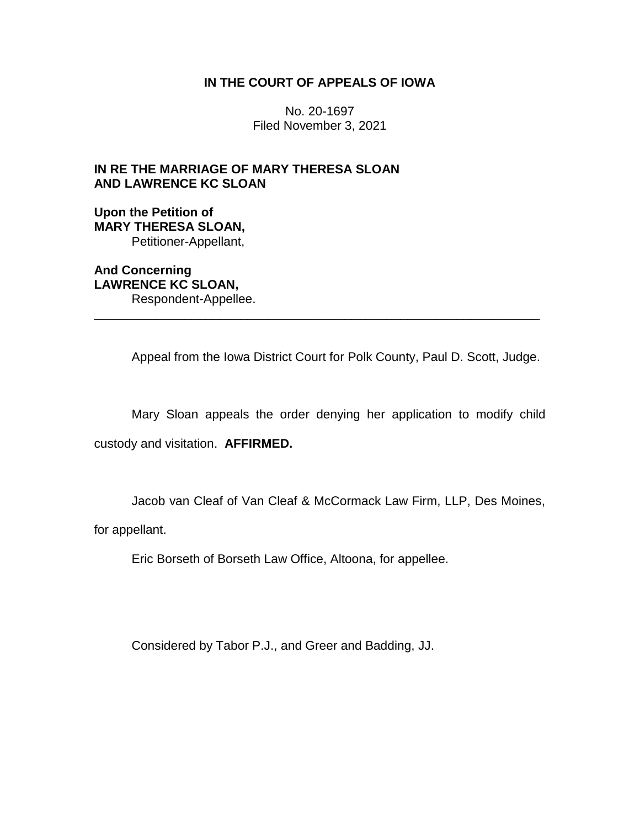## **IN THE COURT OF APPEALS OF IOWA**

No. 20-1697 Filed November 3, 2021

## **IN RE THE MARRIAGE OF MARY THERESA SLOAN AND LAWRENCE KC SLOAN**

**Upon the Petition of MARY THERESA SLOAN,** Petitioner-Appellant,

**And Concerning LAWRENCE KC SLOAN,** Respondent-Appellee.

Appeal from the Iowa District Court for Polk County, Paul D. Scott, Judge.

Mary Sloan appeals the order denying her application to modify child custody and visitation. **AFFIRMED.**

\_\_\_\_\_\_\_\_\_\_\_\_\_\_\_\_\_\_\_\_\_\_\_\_\_\_\_\_\_\_\_\_\_\_\_\_\_\_\_\_\_\_\_\_\_\_\_\_\_\_\_\_\_\_\_\_\_\_\_\_\_\_\_\_

Jacob van Cleaf of Van Cleaf & McCormack Law Firm, LLP, Des Moines,

for appellant.

Eric Borseth of Borseth Law Office, Altoona, for appellee.

Considered by Tabor P.J., and Greer and Badding, JJ.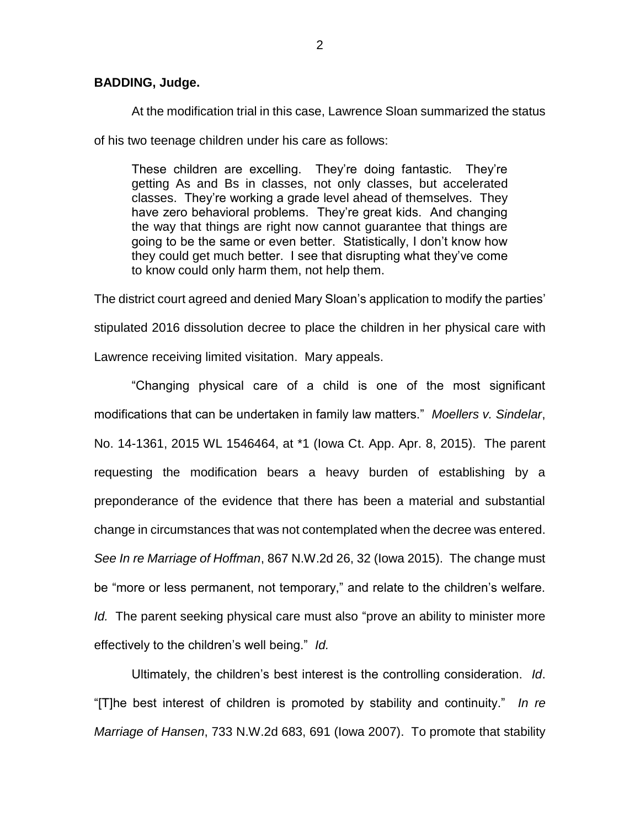## **BADDING, Judge.**

At the modification trial in this case, Lawrence Sloan summarized the status

of his two teenage children under his care as follows:

These children are excelling. They're doing fantastic. They're getting As and Bs in classes, not only classes, but accelerated classes. They're working a grade level ahead of themselves. They have zero behavioral problems. They're great kids. And changing the way that things are right now cannot guarantee that things are going to be the same or even better. Statistically, I don't know how they could get much better. I see that disrupting what they've come to know could only harm them, not help them.

The district court agreed and denied Mary Sloan's application to modify the parties' stipulated 2016 dissolution decree to place the children in her physical care with Lawrence receiving limited visitation. Mary appeals.

"Changing physical care of a child is one of the most significant modifications that can be undertaken in family law matters." *Moellers v. Sindelar*, No. 14-1361, 2015 WL 1546464, at \*1 (Iowa Ct. App. Apr. 8, 2015). The parent requesting the modification bears a heavy burden of establishing by a preponderance of the evidence that there has been a material and substantial change in circumstances that was not contemplated when the decree was entered. *See In re Marriage of Hoffman*, 867 N.W.2d 26, 32 (Iowa 2015). The change must be "more or less permanent, not temporary," and relate to the children's welfare. *Id.* The parent seeking physical care must also "prove an ability to minister more effectively to the children's well being." *Id.*

Ultimately, the children's best interest is the controlling consideration. *Id*. "[T]he best interest of children is promoted by stability and continuity." *In re Marriage of Hansen*, 733 N.W.2d 683, 691 (Iowa 2007). To promote that stability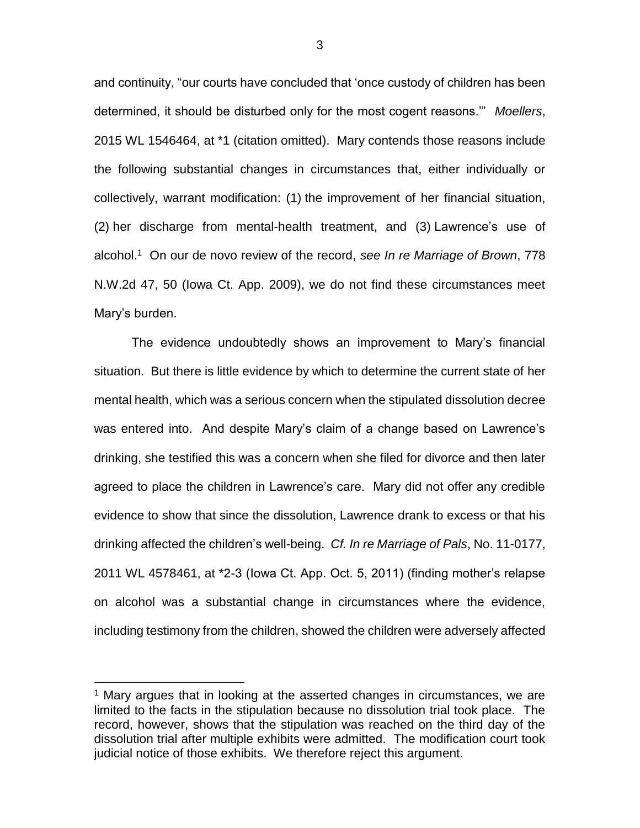and continuity, "our courts have concluded that 'once custody of children has been determined, it should be disturbed only for the most cogent reasons.'" *Moellers*, 2015 WL 1546464, at \*1 (citation omitted). Mary contends those reasons include the following substantial changes in circumstances that, either individually or collectively, warrant modification: (1) the improvement of her financial situation, (2) her discharge from mental-health treatment, and (3) Lawrence's use of alcohol.<sup>1</sup> On our de novo review of the record, *see In re Marriage of Brown*, 778 N.W.2d 47, 50 (Iowa Ct. App. 2009), we do not find these circumstances meet Mary's burden.

The evidence undoubtedly shows an improvement to Mary's financial situation. But there is little evidence by which to determine the current state of her mental health, which was a serious concern when the stipulated dissolution decree was entered into. And despite Mary's claim of a change based on Lawrence's drinking, she testified this was a concern when she filed for divorce and then later agreed to place the children in Lawrence's care. Mary did not offer any credible evidence to show that since the dissolution, Lawrence drank to excess or that his drinking affected the children's well-being. *Cf. In re Marriage of Pals*, No. 11-0177, 2011 WL 4578461, at \*2-3 (Iowa Ct. App. Oct. 5, 2011) (finding mother's relapse on alcohol was a substantial change in circumstances where the evidence, including testimony from the children, showed the children were adversely affected

 $\overline{a}$ 

<sup>&</sup>lt;sup>1</sup> Mary argues that in looking at the asserted changes in circumstances, we are limited to the facts in the stipulation because no dissolution trial took place. The record, however, shows that the stipulation was reached on the third day of the dissolution trial after multiple exhibits were admitted. The modification court took judicial notice of those exhibits. We therefore reject this argument.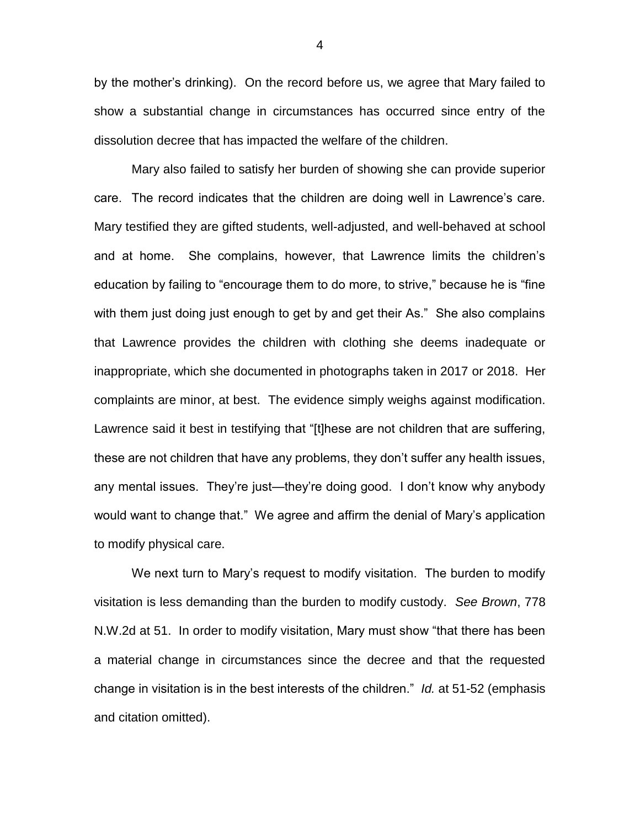by the mother's drinking). On the record before us, we agree that Mary failed to show a substantial change in circumstances has occurred since entry of the dissolution decree that has impacted the welfare of the children.

Mary also failed to satisfy her burden of showing she can provide superior care. The record indicates that the children are doing well in Lawrence's care. Mary testified they are gifted students, well-adjusted, and well-behaved at school and at home. She complains, however, that Lawrence limits the children's education by failing to "encourage them to do more, to strive," because he is "fine with them just doing just enough to get by and get their As." She also complains that Lawrence provides the children with clothing she deems inadequate or inappropriate, which she documented in photographs taken in 2017 or 2018. Her complaints are minor, at best. The evidence simply weighs against modification. Lawrence said it best in testifying that "[t]hese are not children that are suffering, these are not children that have any problems, they don't suffer any health issues, any mental issues. They're just—they're doing good. I don't know why anybody would want to change that." We agree and affirm the denial of Mary's application to modify physical care.

We next turn to Mary's request to modify visitation. The burden to modify visitation is less demanding than the burden to modify custody. *See Brown*, 778 N.W.2d at 51. In order to modify visitation, Mary must show "that there has been a material change in circumstances since the decree and that the requested change in visitation is in the best interests of the children." *Id.* at 51-52 (emphasis and citation omitted).

4